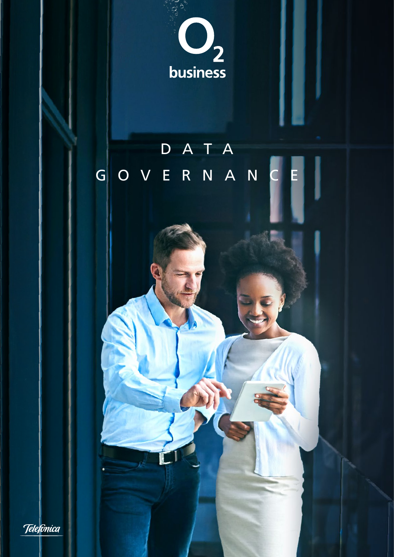

## DATA GOVERNANCE

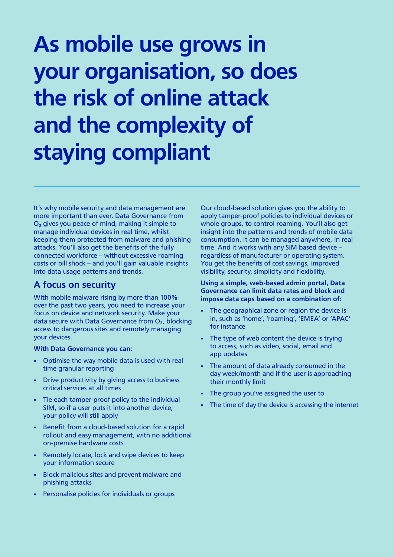# As mobile use grows in your organisation, so does the risk of online attack and the complexity of staying compliant

It's why mobile security and data management are more important than ever. Data Governance from  $O<sub>2</sub>$  gives you peace of mind, making it simple to manage individual devices in real time, whilst keeping them protected from malware and phishing attacks. You'll also get the benefits of the fully connected workforce – without excessive roaming costs or bill shock – and you'll gain valuable insights into data usage patterns and trends.

### A focus on security

With mobile malware rising by more than 100% over the past two years, you need to increase your focus on device and network security. Make your data secure with Data Governance from  $O<sub>2</sub>$ , blocking access to dangerous sites and remotely managing your devices.

#### With Data Governance you can:

- Optimise the way mobile data is used with real time granular reporting
- Drive productivity by giving access to business critical services at all times
- Tie each tamper-proof policy to the individual SIM, so if a user puts it into another device, your policy will still apply
- Benefit from a cloud-based solution for a rapid rollout and easy management, with no additional on-premise hardware costs
- Remotely locate, lock and wipe devices to keep your information secure
- Block malicious sites and prevent malware and phishing attacks
- Personalise policies for individuals or groups

Our cloud-based solution gives you the ability to apply tamper-proof policies to individual devices or whole groups, to control roaming. You'll also get insight into the patterns and trends of mobile data consumption. It can be managed anywhere, in real time. And it works with any SIM based device – regardless of manufacturer or operating system. You get the benefits of cost savings, improved visibility, security, simplicity and flexibility.

#### Using a simple, web-based admin portal, Data Governance can limit data rates and block and impose data caps based on a combination of:

- The geographical zone or region the device is in, such as 'home', 'roaming', 'EMEA' or 'APAC' for instance
- The type of web content the device is trying to access, such as video, social, email and app updates
- The amount of data already consumed in the day week/month and if the user is approaching their monthly limit
- The group you've assigned the user to
- The time of day the device is accessing the internet